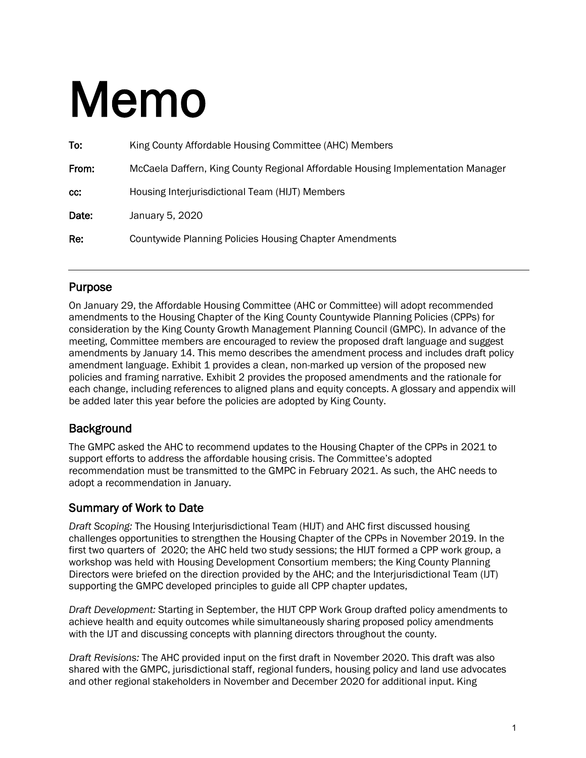# Memo

| To:   | King County Affordable Housing Committee (AHC) Members                          |
|-------|---------------------------------------------------------------------------------|
| From: | McCaela Daffern, King County Regional Affordable Housing Implementation Manager |
| cc:   | Housing Interjurisdictional Team (HIJT) Members                                 |
| Date: | January 5, 2020                                                                 |
| Re:   | <b>Countywide Planning Policies Housing Chapter Amendments</b>                  |
|       |                                                                                 |

### Purpose

On January 29, the Affordable Housing Committee (AHC or Committee) will adopt recommended amendments to the Housing Chapter of the King County Countywide Planning Policies (CPPs) for consideration by the King County Growth Management Planning Council (GMPC). In advance of the meeting, Committee members are encouraged to review the proposed draft language and suggest amendments by January 14. This memo describes the amendment process and includes draft policy amendment language. Exhibit 1 provides a clean, non-marked up version of the proposed new policies and framing narrative. Exhibit 2 provides the proposed amendments and the rationale for each change, including references to aligned plans and equity concepts. A glossary and appendix will be added later this year before the policies are adopted by King County.

# **Background**

The GMPC asked the AHC to recommend updates to the Housing Chapter of the CPPs in 2021 to support efforts to address the affordable housing crisis. The Committee's adopted recommendation must be transmitted to the GMPC in February 2021. As such, the AHC needs to adopt a recommendation in January.

### Summary of Work to Date

*Draft Scoping:* The Housing Interjurisdictional Team (HIJT) and AHC first discussed housing challenges opportunities to strengthen the Housing Chapter of the CPPs in November 2019. In the first two quarters of 2020; the AHC held two study sessions; the HIJT formed a CPP work group, a workshop was held with Housing Development Consortium members; the King County Planning Directors were briefed on the direction provided by the AHC; and the Interjurisdictional Team (IJT) supporting the GMPC developed principles to guide all CPP chapter updates,

*Draft Development:* Starting in September, the HIJT CPP Work Group drafted policy amendments to achieve health and equity outcomes while simultaneously sharing proposed policy amendments with the IJT and discussing concepts with planning directors throughout the county.

*Draft Revisions:* The AHC provided input on the first draft in November 2020. This draft was also shared with the GMPC, jurisdictional staff, regional funders, housing policy and land use advocates and other regional stakeholders in November and December 2020 for additional input. King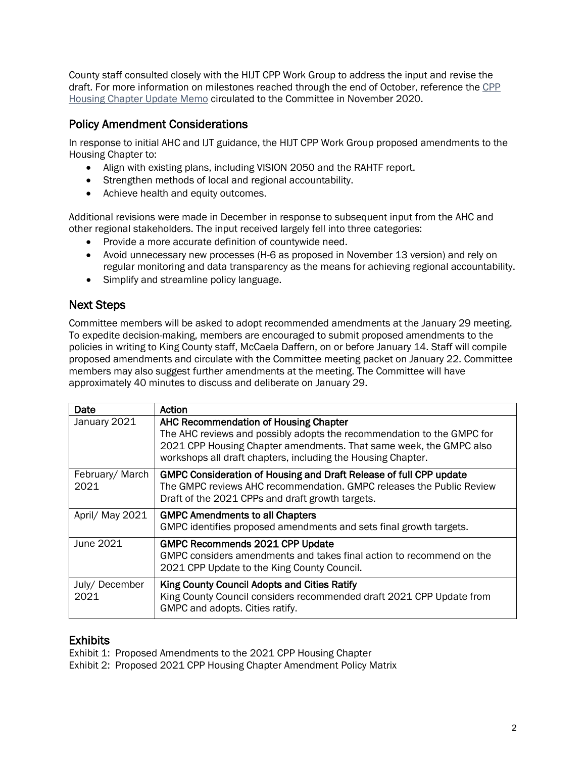County staff consulted closely with the HIJT CPP Work Group to address the input and revise the draft. For more information on milestones reached through the end of October, reference the [CPP](https://www.kingcounty.gov/%7E/media/depts/community-human-services/housing-homelessness-community-development/documents/affordable-housing-committee/Meeting_11-13-2020/CPP_Housing_Chapter_Memo.ashx?la=en)  [Housing Chapter Update Memo](https://www.kingcounty.gov/%7E/media/depts/community-human-services/housing-homelessness-community-development/documents/affordable-housing-committee/Meeting_11-13-2020/CPP_Housing_Chapter_Memo.ashx?la=en) circulated to the Committee in November 2020.

#### Policy Amendment Considerations

In response to initial AHC and IJT guidance, the HIJT CPP Work Group proposed amendments to the Housing Chapter to:

- Align with existing plans, including VISION 2050 and the RAHTF report.
- Strengthen methods of local and regional accountability.
- Achieve health and equity outcomes.

Additional revisions were made in December in response to subsequent input from the AHC and other regional stakeholders. The input received largely fell into three categories:

- Provide a more accurate definition of countywide need.
- Avoid unnecessary new processes (H-6 as proposed in November 13 version) and rely on regular monitoring and data transparency as the means for achieving regional accountability.
- Simplify and streamline policy language.

# Next Steps

Committee members will be asked to adopt recommended amendments at the January 29 meeting. To expedite decision-making, members are encouraged to submit proposed amendments to the policies in writing to King County staff, McCaela Daffern, on or before January 14. Staff will compile proposed amendments and circulate with the Committee meeting packet on January 22. Committee members may also suggest further amendments at the meeting. The Committee will have approximately 40 minutes to discuss and deliberate on January 29.

| Date                   | Action                                                                                                                                                                                                                                                |
|------------------------|-------------------------------------------------------------------------------------------------------------------------------------------------------------------------------------------------------------------------------------------------------|
| January 2021           | AHC Recommendation of Housing Chapter<br>The AHC reviews and possibly adopts the recommendation to the GMPC for<br>2021 CPP Housing Chapter amendments. That same week, the GMPC also<br>workshops all draft chapters, including the Housing Chapter. |
| February/March<br>2021 | GMPC Consideration of Housing and Draft Release of full CPP update<br>The GMPC reviews AHC recommendation, GMPC releases the Public Review<br>Draft of the 2021 CPPs and draft growth targets.                                                        |
| April/ May 2021        | <b>GMPC Amendments to all Chapters</b><br>GMPC identifies proposed amendments and sets final growth targets.                                                                                                                                          |
| June 2021              | <b>GMPC Recommends 2021 CPP Update</b><br>GMPC considers amendments and takes final action to recommend on the<br>2021 CPP Update to the King County Council.                                                                                         |
| July/December<br>2021  | King County Council Adopts and Cities Ratify<br>King County Council considers recommended draft 2021 CPP Update from<br>GMPC and adopts. Cities ratify.                                                                                               |

**Exhibits**<br>Exhibit 1: Proposed Amendments to the 2021 CPP Housing Chapter

Exhibit 2: Proposed 2021 CPP Housing Chapter Amendment Policy Matrix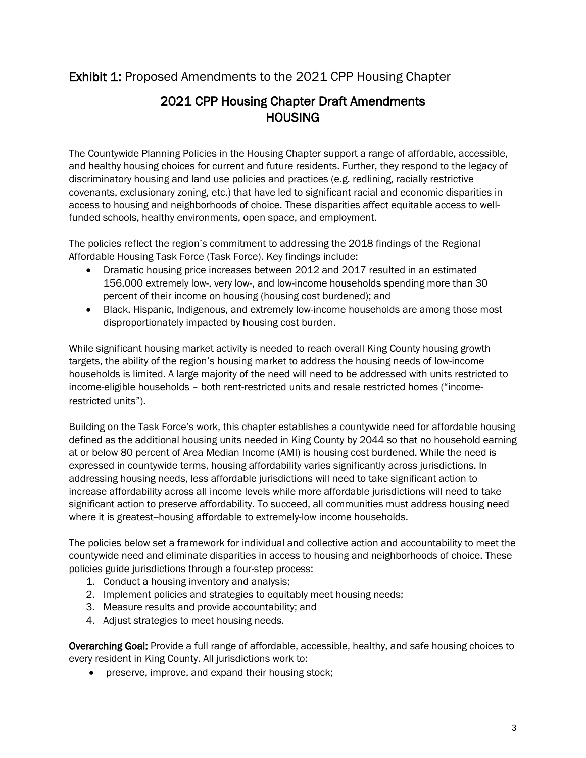# Exhibit 1: Proposed Amendments to the 2021 CPP Housing Chapter

# 2021 CPP Housing Chapter Draft Amendments **HOUSING**

The Countywide Planning Policies in the Housing Chapter support a range of affordable, accessible, and healthy housing choices for current and future residents. Further, they respond to the legacy of discriminatory housing and land use policies and practices (e.g. redlining, racially restrictive covenants, exclusionary zoning, etc.) that have led to significant racial and economic disparities in access to housing and neighborhoods of choice. These disparities affect equitable access to wellfunded schools, healthy environments, open space, and employment.

The policies reflect the region's commitment to addressing the 2018 findings of the Regional Affordable Housing Task Force (Task Force). Key findings include:

- Dramatic housing price increases between 2012 and 2017 resulted in an estimated 156,000 extremely low-, very low-, and low-income households spending more than 30 percent of their income on housing (housing cost burdened); and
- Black, Hispanic, Indigenous, and extremely low-income households are among those most disproportionately impacted by housing cost burden.

While significant housing market activity is needed to reach overall King County housing growth targets, the ability of the region's housing market to address the housing needs of low-income households is limited. A large majority of the need will need to be addressed with units restricted to income-eligible households – both rent-restricted units and resale restricted homes ("incomerestricted units").

Building on the Task Force's work, this chapter establishes a countywide need for affordable housing defined as the additional housing units needed in King County by 2044 so that no household earning at or below 80 percent of Area Median Income (AMI) is housing cost burdened. While the need is expressed in countywide terms, housing affordability varies significantly across jurisdictions. In addressing housing needs, less affordable jurisdictions will need to take significant action to increase affordability across all income levels while more affordable jurisdictions will need to take significant action to preserve affordability. To succeed, all communities must address housing need where it is greatest--housing affordable to extremely-low income households.

The policies below set a framework for individual and collective action and accountability to meet the countywide need and eliminate disparities in access to housing and neighborhoods of choice. These policies guide jurisdictions through a four-step process:

- 1. Conduct a housing inventory and analysis;
- 2. Implement policies and strategies to equitably meet housing needs;
- 3. Measure results and provide accountability; and
- 4. Adjust strategies to meet housing needs.

Overarching Goal: Provide a full range of affordable, accessible, healthy, and safe housing choices to every resident in King County. All jurisdictions work to:

• preserve, improve, and expand their housing stock;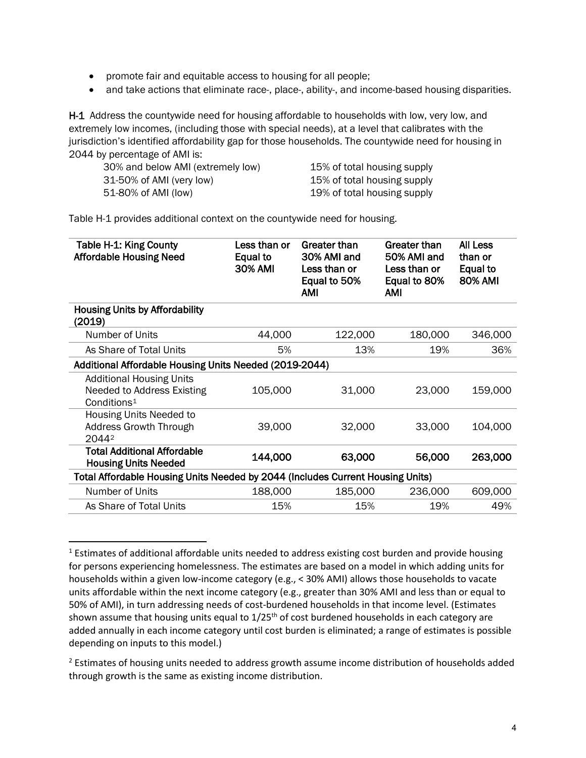- promote fair and equitable access to housing for all people;
- and take actions that eliminate race-, place-, ability-, and income-based housing disparities.

H-1 Address the countywide need for housing affordable to households with low, very low, and extremely low incomes, (including those with special needs), at a level that calibrates with the jurisdiction's identified affordability gap for those households. The countywide need for housing in 2044 by percentage of AMI is:

30% and below AMI (extremely low) 15% of total housing supply 31-50% of AMI (very low) 15% of total housing supply 51-80% of AMI (low) 19% of total housing supply

Table H-1 provides additional context on the countywide need for housing.

| Less than or<br>Equal to<br>30% AMI                    | Greater than<br>30% AMI and<br>Less than or<br>Equal to 50%<br>AMI | Greater than<br>50% AMI and<br>Less than or<br>Equal to 80%<br><b>AMI</b> | <b>All Less</b><br>than or<br>Equal to<br><b>80% AMI</b>                       |  |  |
|--------------------------------------------------------|--------------------------------------------------------------------|---------------------------------------------------------------------------|--------------------------------------------------------------------------------|--|--|
|                                                        |                                                                    |                                                                           |                                                                                |  |  |
| 44,000                                                 | 122,000                                                            | 180,000                                                                   | 346,000                                                                        |  |  |
| 5%                                                     | 13%                                                                | 19%                                                                       | 36%                                                                            |  |  |
| Additional Affordable Housing Units Needed (2019-2044) |                                                                    |                                                                           |                                                                                |  |  |
| 105,000                                                | 31,000                                                             | 23,000                                                                    | 159,000                                                                        |  |  |
| 39,000                                                 | 32,000                                                             | 33,000                                                                    | 104,000                                                                        |  |  |
| 144,000                                                | 63,000                                                             | 56,000                                                                    | 263,000                                                                        |  |  |
|                                                        |                                                                    |                                                                           |                                                                                |  |  |
| 188,000                                                | 185,000                                                            | 236,000                                                                   | 609,000                                                                        |  |  |
| 15%                                                    | 15%                                                                | 19%                                                                       | 49%                                                                            |  |  |
|                                                        |                                                                    |                                                                           | Total Affordable Housing Units Needed by 2044 (Includes Current Housing Units) |  |  |

<span id="page-3-0"></span><sup>&</sup>lt;sup>1</sup> Estimates of additional affordable units needed to address existing cost burden and provide housing for persons experiencing homelessness. The estimates are based on a model in which adding units for households within a given low-income category (e.g., < 30% AMI) allows those households to vacate units affordable within the next income category (e.g., greater than 30% AMI and less than or equal to 50% of AMI), in turn addressing needs of cost-burdened households in that income level. (Estimates shown assume that housing units equal to  $1/25<sup>th</sup>$  of cost burdened households in each category are added annually in each income category until cost burden is eliminated; a range of estimates is possible depending on inputs to this model.)

<span id="page-3-1"></span><sup>&</sup>lt;sup>2</sup> Estimates of housing units needed to address growth assume income distribution of households added through growth is the same as existing income distribution.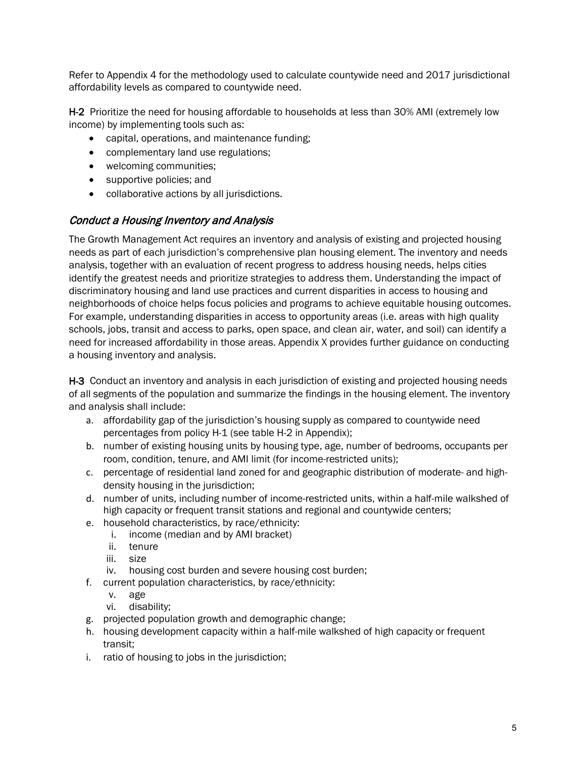Refer to Appendix 4 for the methodology used to calculate countywide need and 2017 jurisdictional affordability levels as compared to countywide need.

H-2 Prioritize the need for housing affordable to households at less than 30% AMI (extremely low income) by implementing tools such as:

- capital, operations, and maintenance funding;
- complementary land use regulations;
- welcoming communities;
- supportive policies; and
- collaborative actions by all jurisdictions.

#### Conduct a Housing Inventory and Analysis

The Growth Management Act requires an inventory and analysis of existing and projected housing needs as part of each jurisdiction's comprehensive plan housing element. The inventory and needs analysis, together with an evaluation of recent progress to address housing needs, helps cities identify the greatest needs and prioritize strategies to address them. Understanding the impact of discriminatory housing and land use practices and current disparities in access to housing and neighborhoods of choice helps focus policies and programs to achieve equitable housing outcomes. For example, understanding disparities in access to opportunity areas (i.e. areas with high quality schools, jobs, transit and access to parks, open space, and clean air, water, and soil) can identify a need for increased affordability in those areas. Appendix X provides further guidance on conducting a housing inventory and analysis.

H-3 Conduct an inventory and analysis in each jurisdiction of existing and projected housing needs of all segments of the population and summarize the findings in the housing element. The inventory and analysis shall include:

- a. affordability gap of the jurisdiction's housing supply as compared to countywide need percentages from policy H-1 (see table H-2 in Appendix);
- b. number of existing housing units by housing type, age, number of bedrooms, occupants per room, condition, tenure, and AMI limit (for income-restricted units);
- c. percentage of residential land zoned for and geographic distribution of moderate- and highdensity housing in the jurisdiction;
- d. number of units, including number of income-restricted units, within a half-mile walkshed of high capacity or frequent transit stations and regional and countywide centers;
- e. household characteristics, by race/ethnicity:
	- i. income (median and by AMI bracket)
	- ii. tenure
	- iii. size
	- iv. housing cost burden and severe housing cost burden;
- f. current population characteristics, by race/ethnicity:
	- v. age
	- vi. disability;
- g. projected population growth and demographic change;
- h. housing development capacity within a half-mile walkshed of high capacity or frequent transit;
- i. ratio of housing to jobs in the jurisdiction;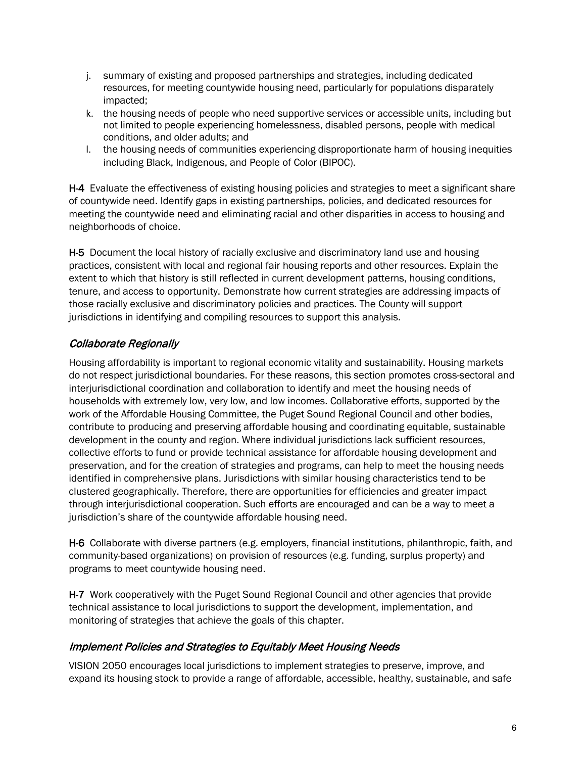- j. summary of existing and proposed partnerships and strategies, including dedicated resources, for meeting countywide housing need, particularly for populations disparately impacted;
- k. the housing needs of people who need supportive services or accessible units, including but not limited to people experiencing homelessness, disabled persons, people with medical conditions, and older adults; and
- l. the housing needs of communities experiencing disproportionate harm of housing inequities including Black, Indigenous, and People of Color (BIPOC).

H-4 Evaluate the effectiveness of existing housing policies and strategies to meet a significant share of countywide need. Identify gaps in existing partnerships, policies, and dedicated resources for meeting the countywide need and eliminating racial and other disparities in access to housing and neighborhoods of choice.

H-5 Document the local history of racially exclusive and discriminatory land use and housing practices, consistent with local and regional fair housing reports and other resources. Explain the extent to which that history is still reflected in current development patterns, housing conditions, tenure, and access to opportunity. Demonstrate how current strategies are addressing impacts of those racially exclusive and discriminatory policies and practices. The County will support jurisdictions in identifying and compiling resources to support this analysis.

# Collaborate Regionally

Housing affordability is important to regional economic vitality and sustainability. Housing markets do not respect jurisdictional boundaries. For these reasons, this section promotes cross-sectoral and interjurisdictional coordination and collaboration to identify and meet the housing needs of households with extremely low, very low, and low incomes. Collaborative efforts, supported by the work of the Affordable Housing Committee, the Puget Sound Regional Council and other bodies, contribute to producing and preserving affordable housing and coordinating equitable, sustainable development in the county and region. Where individual jurisdictions lack sufficient resources, collective efforts to fund or provide technical assistance for affordable housing development and preservation, and for the creation of strategies and programs, can help to meet the housing needs identified in comprehensive plans. Jurisdictions with similar housing characteristics tend to be clustered geographically. Therefore, there are opportunities for efficiencies and greater impact through interjurisdictional cooperation. Such efforts are encouraged and can be a way to meet a jurisdiction's share of the countywide affordable housing need.

H-6 Collaborate with diverse partners (e.g. employers, financial institutions, philanthropic, faith, and community-based organizations) on provision of resources (e.g. funding, surplus property) and programs to meet countywide housing need.

H-7 Work cooperatively with the Puget Sound Regional Council and other agencies that provide technical assistance to local jurisdictions to support the development, implementation, and monitoring of strategies that achieve the goals of this chapter.

#### Implement Policies and Strategies to Equitably Meet Housing Needs

VISION 2050 encourages local jurisdictions to implement strategies to preserve, improve, and expand its housing stock to provide a range of affordable, accessible, healthy, sustainable, and safe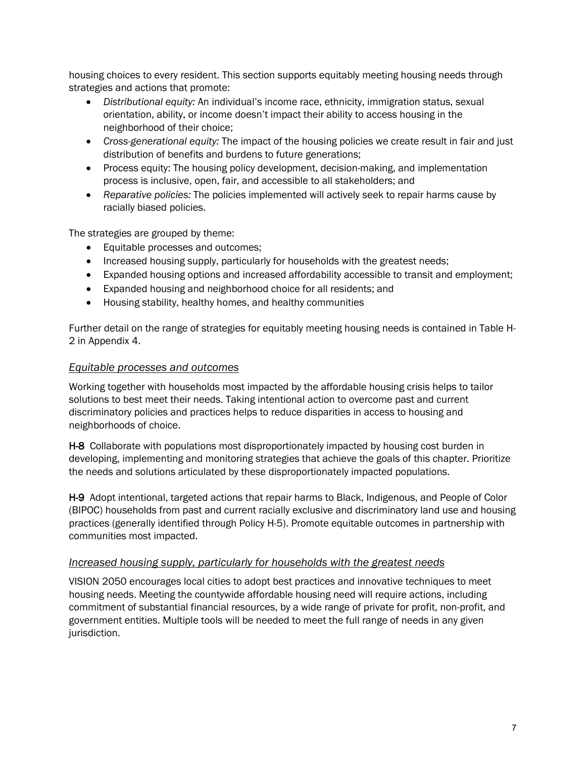housing choices to every resident. This section supports equitably meeting housing needs through strategies and actions that promote:

- *Distributional equity:* An individual's income race, ethnicity, immigration status, sexual orientation, ability, or income doesn't impact their ability to access housing in the neighborhood of their choice;
- *Cross-generational equity:* The impact of the housing policies we create result in fair and just distribution of benefits and burdens to future generations;
- Process equity: The housing policy development, decision-making, and implementation process is inclusive, open, fair, and accessible to all stakeholders; and
- *Reparative policies:* The policies implemented will actively seek to repair harms cause by racially biased policies.

The strategies are grouped by theme:

- Equitable processes and outcomes;
- Increased housing supply, particularly for households with the greatest needs;
- Expanded housing options and increased affordability accessible to transit and employment;
- Expanded housing and neighborhood choice for all residents; and
- Housing stability, healthy homes, and healthy communities

Further detail on the range of strategies for equitably meeting housing needs is contained in Table H-2 in Appendix 4.

#### *Equitable processes and outcomes*

Working together with households most impacted by the affordable housing crisis helps to tailor solutions to best meet their needs. Taking intentional action to overcome past and current discriminatory policies and practices helps to reduce disparities in access to housing and neighborhoods of choice.

H-8 Collaborate with populations most disproportionately impacted by housing cost burden in developing, implementing and monitoring strategies that achieve the goals of this chapter. Prioritize the needs and solutions articulated by these disproportionately impacted populations.

H-9 Adopt intentional, targeted actions that repair harms to Black, Indigenous, and People of Color (BIPOC) households from past and current racially exclusive and discriminatory land use and housing practices (generally identified through Policy H-5). Promote equitable outcomes in partnership with communities most impacted.

#### *Increased housing supply, particularly for households with the greatest needs*

VISION 2050 encourages local cities to adopt best practices and innovative techniques to meet housing needs. Meeting the countywide affordable housing need will require actions, including commitment of substantial financial resources, by a wide range of private for profit, non-profit, and government entities. Multiple tools will be needed to meet the full range of needs in any given jurisdiction.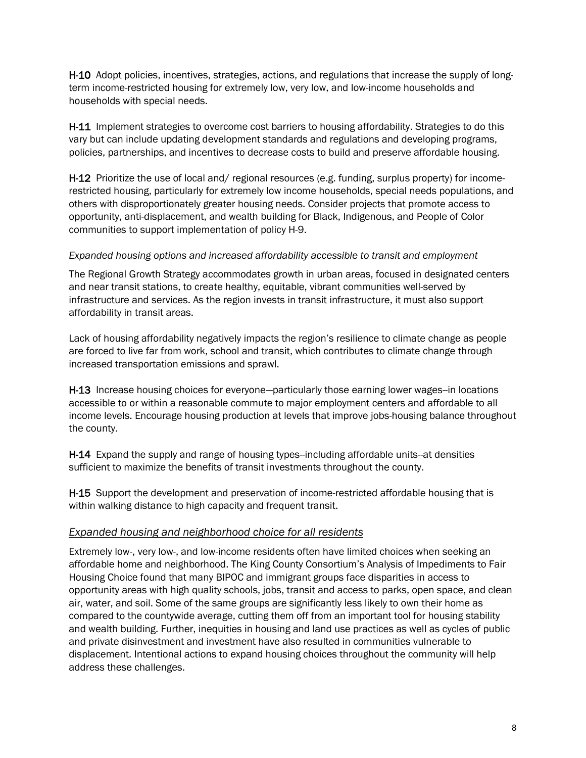H-10 Adopt policies, incentives, strategies, actions, and regulations that increase the supply of longterm income-restricted housing for extremely low, very low, and low-income households and households with special needs.

H-11 Implement strategies to overcome cost barriers to housing affordability. Strategies to do this vary but can include updating development standards and regulations and developing programs, policies, partnerships, and incentives to decrease costs to build and preserve affordable housing.

H-12 Prioritize the use of local and/ regional resources (e.g. funding, surplus property) for incomerestricted housing, particularly for extremely low income households, special needs populations, and others with disproportionately greater housing needs. Consider projects that promote access to opportunity, anti-displacement, and wealth building for Black, Indigenous, and People of Color communities to support implementation of policy H-9.

#### *Expanded housing options and increased affordability accessible to transit and employment*

The Regional Growth Strategy accommodates growth in urban areas, focused in designated centers and near transit stations, to create healthy, equitable, vibrant communities well-served by infrastructure and services. As the region invests in transit infrastructure, it must also support affordability in transit areas.

Lack of housing affordability negatively impacts the region's resilience to climate change as people are forced to live far from work, school and transit, which contributes to climate change through increased transportation emissions and sprawl.

H-13 Increase housing choices for everyone-particularly those earning lower wages-in locations accessible to or within a reasonable commute to major employment centers and affordable to all income levels. Encourage housing production at levels that improve jobs-housing balance throughout the county.

H-14 Expand the supply and range of housing types--including affordable units--at densities sufficient to maximize the benefits of transit investments throughout the county.

H-15 Support the development and preservation of income-restricted affordable housing that is within walking distance to high capacity and frequent transit.

#### *Expanded housing and neighborhood choice for all residents*

Extremely low-, very low-, and low-income residents often have limited choices when seeking an affordable home and neighborhood. The King County Consortium's Analysis of Impediments to Fair Housing Choice found that many BIPOC and immigrant groups face disparities in access to opportunity areas with high quality schools, jobs, transit and access to parks, open space, and clean air, water, and soil. Some of the same groups are significantly less likely to own their home as compared to the countywide average, cutting them off from an important tool for housing stability and wealth building. Further, inequities in housing and land use practices as well as cycles of public and private disinvestment and investment have also resulted in communities vulnerable to displacement. Intentional actions to expand housing choices throughout the community will help address these challenges.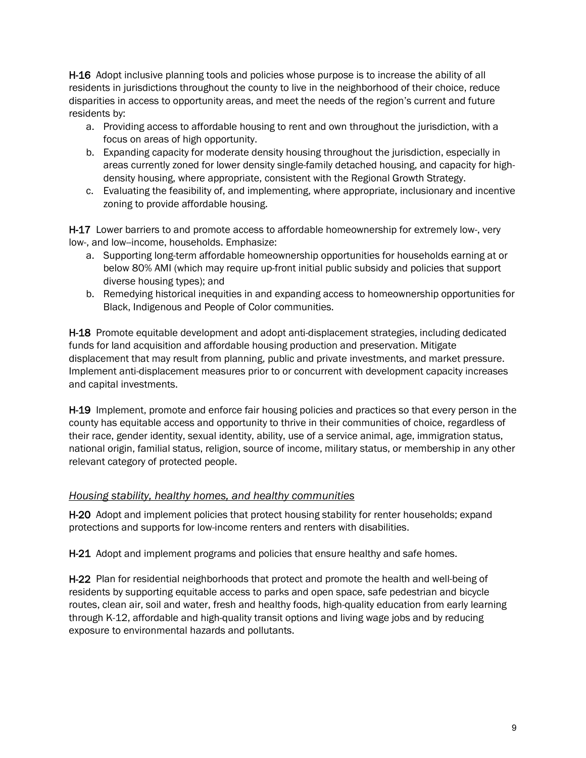H-16 Adopt inclusive planning tools and policies whose purpose is to increase the ability of all residents in jurisdictions throughout the county to live in the neighborhood of their choice, reduce disparities in access to opportunity areas, and meet the needs of the region's current and future residents by:

- a. Providing access to affordable housing to rent and own throughout the jurisdiction, with a focus on areas of high opportunity.
- b. Expanding capacity for moderate density housing throughout the jurisdiction, especially in areas currently zoned for lower density single-family detached housing, and capacity for highdensity housing, where appropriate, consistent with the Regional Growth Strategy.
- c. Evaluating the feasibility of, and implementing, where appropriate, inclusionary and incentive zoning to provide affordable housing.

H-17 Lower barriers to and promote access to affordable homeownership for extremely low-, very low-, and low--income, households. Emphasize:

- a. Supporting long-term affordable homeownership opportunities for households earning at or below 80% AMI (which may require up-front initial public subsidy and policies that support diverse housing types); and
- b. Remedying historical inequities in and expanding access to homeownership opportunities for Black, Indigenous and People of Color communities.

H-18 Promote equitable development and adopt anti-displacement strategies, including dedicated funds for land acquisition and affordable housing production and preservation. Mitigate displacement that may result from planning, public and private investments, and market pressure. Implement anti-displacement measures prior to or concurrent with development capacity increases and capital investments.

H-19 Implement, promote and enforce fair housing policies and practices so that every person in the county has equitable access and opportunity to thrive in their communities of choice, regardless of their race, gender identity, sexual identity, ability, use of a service animal, age, immigration status, national origin, familial status, religion, source of income, military status, or membership in any other relevant category of protected people.

#### *Housing stability, healthy homes, and healthy communities*

H-20 Adopt and implement policies that protect housing stability for renter households; expand protections and supports for low-income renters and renters with disabilities.

H-21 Adopt and implement programs and policies that ensure healthy and safe homes.

H-22 Plan for residential neighborhoods that protect and promote the health and well-being of residents by supporting equitable access to parks and open space, safe pedestrian and bicycle routes, clean air, soil and water, fresh and healthy foods, high-quality education from early learning through K-12, affordable and high-quality transit options and living wage jobs and by reducing exposure to environmental hazards and pollutants.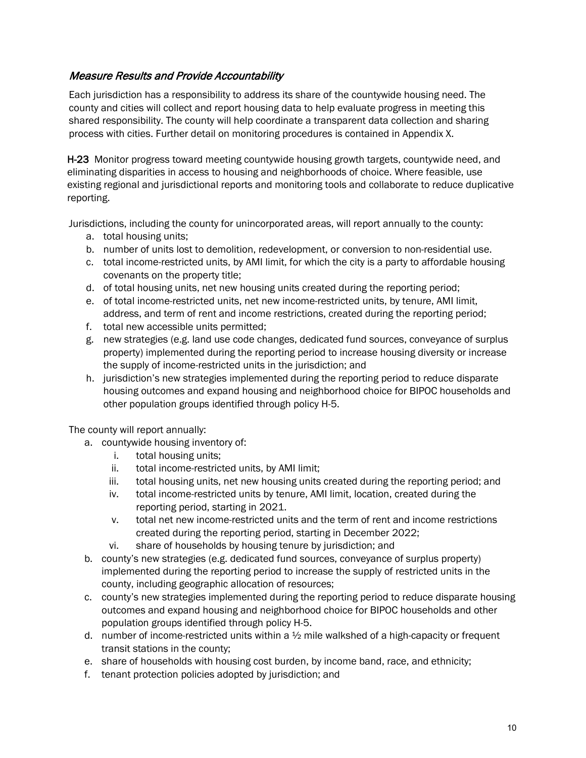### Measure Results and Provide Accountability

Each jurisdiction has a responsibility to address its share of the countywide housing need. The county and cities will collect and report housing data to help evaluate progress in meeting this shared responsibility. The county will help coordinate a transparent data collection and sharing process with cities. Further detail on monitoring procedures is contained in Appendix X.

H-23 Monitor progress toward meeting countywide housing growth targets, countywide need, and eliminating disparities in access to housing and neighborhoods of choice. Where feasible, use existing regional and jurisdictional reports and monitoring tools and collaborate to reduce duplicative reporting.

Jurisdictions, including the county for unincorporated areas, will report annually to the county:

- a. total housing units;
- b. number of units lost to demolition, redevelopment, or conversion to non-residential use.
- c. total income-restricted units, by AMI limit, for which the city is a party to affordable housing covenants on the property title;
- d. of total housing units, net new housing units created during the reporting period;
- e. of total income-restricted units, net new income-restricted units, by tenure, AMI limit, address, and term of rent and income restrictions, created during the reporting period;
- f. total new accessible units permitted;
- g. new strategies (e.g. land use code changes, dedicated fund sources, conveyance of surplus property) implemented during the reporting period to increase housing diversity or increase the supply of income-restricted units in the jurisdiction; and
- h. jurisdiction's new strategies implemented during the reporting period to reduce disparate housing outcomes and expand housing and neighborhood choice for BIPOC households and other population groups identified through policy H-5.

The county will report annually:

- a. countywide housing inventory of:
	- i. total housing units;
	- ii. total income-restricted units, by AMI limit;
	- iii. total housing units, net new housing units created during the reporting period; and
	- iv. total income-restricted units by tenure, AMI limit, location, created during the reporting period, starting in 2021.
	- v. total net new income-restricted units and the term of rent and income restrictions created during the reporting period, starting in December 2022;
	- vi. share of households by housing tenure by jurisdiction; and
- b. county's new strategies (e.g. dedicated fund sources, conveyance of surplus property) implemented during the reporting period to increase the supply of restricted units in the county, including geographic allocation of resources;
- c. county's new strategies implemented during the reporting period to reduce disparate housing outcomes and expand housing and neighborhood choice for BIPOC households and other population groups identified through policy H-5.
- d. number of income-restricted units within a  $\frac{1}{2}$  mile walkshed of a high-capacity or frequent transit stations in the county;
- e. share of households with housing cost burden, by income band, race, and ethnicity;
- f. tenant protection policies adopted by jurisdiction; and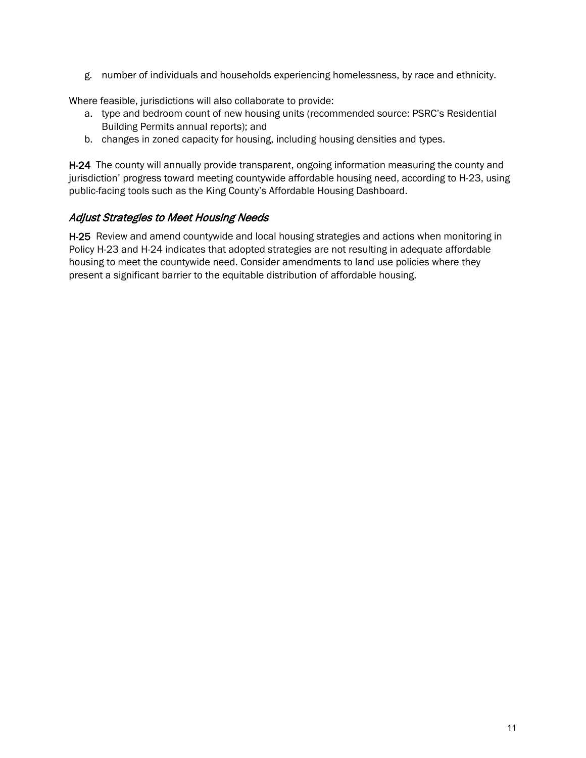g. number of individuals and households experiencing homelessness, by race and ethnicity.

Where feasible, jurisdictions will also collaborate to provide:

- a. type and bedroom count of new housing units (recommended source: PSRC's Residential Building Permits annual reports); and
- b. changes in zoned capacity for housing, including housing densities and types.

H-24 The county will annually provide transparent, ongoing information measuring the county and jurisdiction' progress toward meeting countywide affordable housing need, according to H-23, using public-facing tools such as the King County's Affordable Housing Dashboard.

# Adjust Strategies to Meet Housing Needs

H-25 Review and amend countywide and local housing strategies and actions when monitoring in Policy H-23 and H-24 indicates that adopted strategies are not resulting in adequate affordable housing to meet the countywide need. Consider amendments to land use policies where they present a significant barrier to the equitable distribution of affordable housing.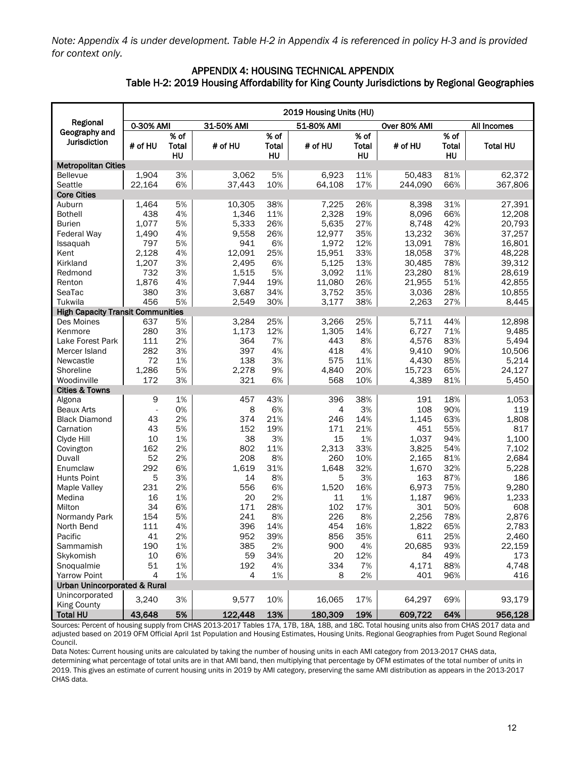*Note: Appendix 4 is under development. Table H-2 in Appendix 4 is referenced in policy H-3 and is provided for context only.*

#### APPENDIX 4: HOUSING TECHNICAL APPENDIX Table H-2: 2019 Housing Affordability for King County Jurisdictions by Regional Geographies

|                                          | 2019 Housing Units (HU) |              |            |              |            |              |              |       |                 |
|------------------------------------------|-------------------------|--------------|------------|--------------|------------|--------------|--------------|-------|-----------------|
| Regional                                 | 0-30% AMI               |              | 31-50% AMI |              | 51-80% AMI |              | Over 80% AMI |       | All Incomes     |
| Geography and                            |                         | % of         |            | % of         |            | % of         |              | % of  |                 |
| Jurisdiction                             | # of HU                 | <b>Total</b> | # of HU    | <b>Total</b> | # of HU    | <b>Total</b> | # of HU      | Total | <b>Total HU</b> |
|                                          |                         | HU           |            | HU           |            | HU           |              | HU    |                 |
| <b>Metropolitan Cities</b>               |                         |              |            |              |            |              |              |       |                 |
| <b>Bellevue</b>                          | 1,904                   | 3%           | 3.062      | 5%           | 6,923      | 11%          | 50,483       | 81%   | 62,372          |
| Seattle                                  | 22,164                  | 6%           | 37,443     | 10%          | 64,108     | 17%          | 244,090      | 66%   | 367,806         |
| <b>Core Cities</b>                       |                         |              |            |              |            |              |              |       |                 |
| Auburn                                   | 1,464                   | 5%           | 10,305     | 38%          | 7,225      | 26%          | 8,398        | 31%   | 27,391          |
| <b>Bothell</b>                           | 438                     | 4%           | 1,346      | 11%          | 2,328      | 19%          | 8,096        | 66%   | 12,208          |
| Burien                                   | 1,077                   | 5%           | 5,333      | 26%          | 5,635      | 27%          | 8,748        | 42%   | 20,793          |
| <b>Federal Way</b>                       | 1,490                   | 4%           | 9.558      | 26%          | 12,977     | 35%          | 13.232       | 36%   | 37,257          |
| Issaquah                                 | 797                     | 5%           | 941        | 6%           | 1,972      | 12%          | 13,091       | 78%   | 16,801          |
| Kent                                     | 2,128                   | 4%           | 12,091     | 25%          | 15,951     | 33%          | 18,058       | 37%   | 48,228          |
| Kirkland                                 | 1,207                   | 3%           | 2,495      | 6%           | 5,125      | 13%          | 30,485       | 78%   | 39,312          |
| Redmond                                  | 732                     | 3%           | 1,515      | 5%           | 3,092      | 11%          | 23,280       | 81%   | 28,619          |
| Renton                                   | 1,876                   | 4%           | 7,944      | 19%          | 11,080     | 26%          | 21,955       | 51%   | 42,855          |
| SeaTac                                   | 380                     | 3%           | 3,687      | 34%          | 3,752      | 35%          | 3,036        | 28%   | 10,855          |
| Tukwila                                  | 456                     | 5%           | 2,549      | 30%          | 3,177      | 38%          | 2,263        | 27%   | 8,445           |
| <b>High Capacity Transit Communities</b> |                         |              |            |              |            |              |              |       |                 |
| Des Moines                               | 637                     | 5%           | 3,284      | 25%          | 3,266      | 25%          | 5,711        | 44%   | 12,898          |
| Kenmore                                  | 280                     | 3%           | 1,173      | 12%          | 1,305      | 14%          | 6,727        | 71%   | 9,485           |
| Lake Forest Park                         | 111                     | 2%           | 364        | 7%           | 443        | 8%           | 4,576        | 83%   | 5,494           |
| Mercer Island                            | 282                     | 3%           | 397        | 4%           | 418        | 4%           | 9,410        | 90%   | 10,506          |
| Newcastle                                | 72                      | 1%           | 138        | 3%           | 575        | 11%          | 4,430        | 85%   | 5,214           |
| Shoreline                                | 1,286                   | 5%           | 2,278      | 9%           | 4,840      | 20%          | 15,723       | 65%   | 24,127          |
| Woodinville                              | 172                     | 3%           | 321        | 6%           | 568        | 10%          | 4,389        | 81%   | 5,450           |
| <b>Cities &amp; Towns</b>                |                         |              |            |              |            |              |              |       |                 |
| Algona                                   | 9                       | 1%           | 457        | 43%          | 396        | 38%          | 191          | 18%   | 1,053           |
| <b>Beaux Arts</b>                        | ÷,                      | 0%           | 8          | 6%           | 4          | 3%           | 108          | 90%   | 119             |
| <b>Black Diamond</b>                     | 43                      | 2%           | 374        | 21%          | 246        | 14%          | 1,145        | 63%   | 1,808           |
| Carnation                                | 43                      | 5%           | 152        | 19%          | 171        | 21%          | 451          | 55%   | 817             |
| Clyde Hill                               | 10                      | 1%           | 38         | 3%           | 15         | 1%           | 1,037        | 94%   | 1,100           |
| Covington                                | 162                     | 2%           | 802        | 11%          | 2,313      | 33%          | 3,825        | 54%   | 7,102           |
| Duvall                                   | 52                      | 2%           | 208        | 8%           | 260        | 10%          | 2,165        | 81%   | 2,684           |
| Enumclaw                                 | 292                     | 6%           | 1,619      | 31%          | 1,648      | 32%          | 1,670        | 32%   | 5,228           |
| <b>Hunts Point</b>                       | 5                       | 3%           | 14         | 8%           | 5          | 3%           | 163          | 87%   | 186             |
| Maple Valley                             | 231                     | 2%           | 556        | 6%           | 1,520      | 16%          | 6,973        | 75%   | 9,280           |
| Medina                                   | 16                      | 1%           | 20         | 2%           | 11         | 1%           | 1,187        | 96%   | 1,233           |
| Milton                                   | 34                      | 6%           | 171        | 28%          | 102        | 17%          | 301          | 50%   | 608             |
| Normandy Park                            | 154                     | 5%           | 241        | 8%           | 226        | 8%           | 2,256        | 78%   | 2,876           |
| North Bend                               | 111                     | 4%           | 396        | 14%          | 454        | 16%          | 1,822        | 65%   | 2,783           |
| Pacific                                  | 41                      | 2%           | 952        | 39%          | 856        | 35%          | 611          | 25%   | 2,460           |
| Sammamish                                | 190                     | 1%           | 385        | 2%           | 900        | 4%           | 20,685       | 93%   | 22,159          |
| Skykomish                                | 10                      | 6%           | 59         | 34%          | 20         | 12%          | 84           | 49%   | 173             |
| Snoqualmie                               | 51                      | 1%           | 192        | 4%           | 334        | 7%           | 4,171        | 88%   | 4,748           |
| <b>Yarrow Point</b>                      | $\overline{4}$          | 1%           | 4          | 1%           | 8          | 2%           | 401          | 96%   | 416             |
| <b>Urban Unincorporated &amp; Rural</b>  |                         |              |            |              |            |              |              |       |                 |
| Unincorporated                           | 3,240                   | 3%           | 9,577      | 10%          | 16,065     | 17%          | 64,297       | 69%   | 93,179          |
| <b>King County</b>                       |                         |              |            |              |            |              |              |       |                 |
| <b>Total HU</b>                          | 43,648                  | 5%           | 122,448    | 13%          | 180,309    | 19%          | 609,722      | 64%   | 956,128         |

| Total HU | 43,648 5% | 122,448 13% | 180,309 19% | 609,722 64% | 956,128<br>Sources: Percent of housing supply from CHAS 2013-2017 Tables 17A, 17B, 18A, 18B, and 18C. Total housing units also from CHAS 2017 data and adjusted based on 2019 OFM Official April 1st Population and Housing Estimates, Housing Units. Regional Geographies from Puget Sound Regional Council.

Data Notes: Current housing units are calculated by taking the number of housing units in each AMI category from 2013-2017 CHAS data,

determining what percentage of total units are in that AMI band, then multiplying that percentage by OFM estimates of the total number of units in 2019. This gives an estimate of current housing units in 2019 by AMI category, preserving the same AMI distribution as appears in the 2013-2017 CHAS data.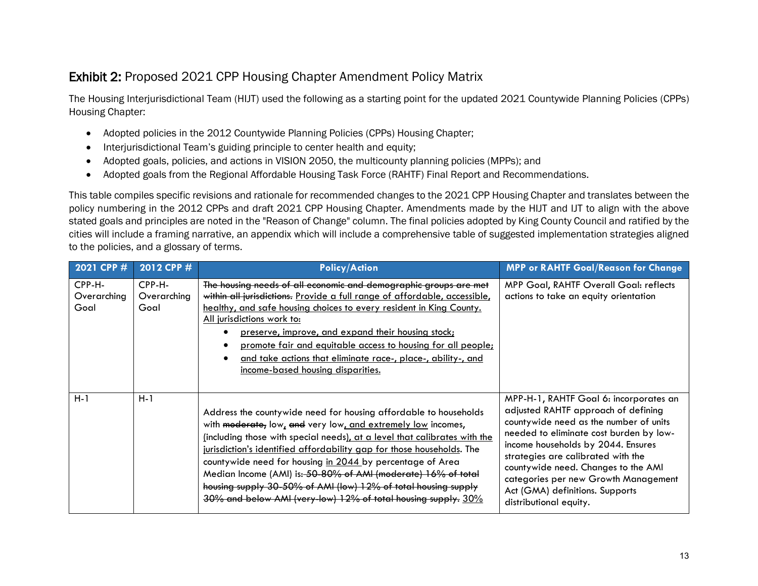# Exhibit 2: Proposed 2021 CPP Housing Chapter Amendment Policy Matrix

The Housing Interjurisdictional Team (HIJT) used the following as a starting point for the updated 2021 Countywide Planning Policies (CPPs) Housing Chapter:

- Adopted policies in the 2012 Countywide Planning Policies (CPPs) Housing Chapter;
- Interjurisdictional Team's guiding principle to center health and equity;
- Adopted goals, policies, and actions in VISION 2050, the multicounty planning policies (MPPs); and
- Adopted goals from the Regional Affordable Housing Task Force (RAHTF) Final Report and Recommendations.

This table compiles specific revisions and rationale for recommended changes to the 2021 CPP Housing Chapter and translates between the policy numbering in the 2012 CPPs and draft 2021 CPP Housing Chapter. Amendments made by the HIJT and IJT to align with the above stated goals and principles are noted in the "Reason of Change" column. The final policies adopted by King County Council and ratified by the cities will include a framing narrative, an appendix which will include a comprehensive table of suggested implementation strategies aligned to the policies, and a glossary of terms.

| 2021 CPP #                    | 2012 CPP #                    | <b>Policy/Action</b>                                                                                                                                                                                                                                                                                                                                                                                                                                                                                                                                    | <b>MPP or RAHTF Goal/Reason for Change</b>                                                                                                                                                                                                                                                                                                                                                 |
|-------------------------------|-------------------------------|---------------------------------------------------------------------------------------------------------------------------------------------------------------------------------------------------------------------------------------------------------------------------------------------------------------------------------------------------------------------------------------------------------------------------------------------------------------------------------------------------------------------------------------------------------|--------------------------------------------------------------------------------------------------------------------------------------------------------------------------------------------------------------------------------------------------------------------------------------------------------------------------------------------------------------------------------------------|
| CPP-H-<br>Overarching<br>Goal | CPP-H-<br>Overarching<br>Goal | The housing needs of all economic and demographic groups are met<br>within all jurisdictions. Provide a full range of affordable, accessible,<br>healthy, and safe housing choices to every resident in King County.<br>All jurisdictions work to:<br>preserve, improve, and expand their housing stock;<br>promote fair and equitable access to housing for all people;<br>and take actions that eliminate race-, place-, ability-, and<br>income-based housing disparities.                                                                           | MPP Goal, RAHTF Overall Goal: reflects<br>actions to take an equity orientation                                                                                                                                                                                                                                                                                                            |
| $H-1$                         | $H-1$                         | Address the countywide need for housing affordable to households<br>with moderate, low, and very low, and extremely low incomes,<br>(including those with special needs), at a level that calibrates with the<br>jurisdiction's identified affordability gap for those households. The<br>countywide need for housing in 2044 by percentage of Area<br>Median Income (AMI) is: 50-80% of AMI (moderate) 16% of total<br>housing supply 30-50% of AMI (low) 12% of total housing supply<br>30% and below AMI (very-low) 12% of total housing supply. 30% | MPP-H-1, RAHTF Goal 6: incorporates an<br>adjusted RAHTF approach of defining<br>countywide need as the number of units<br>needed to eliminate cost burden by low-<br>income households by 2044. Ensures<br>strategies are calibrated with the<br>countywide need. Changes to the AMI<br>categories per new Growth Management<br>Act (GMA) definitions. Supports<br>distributional equity. |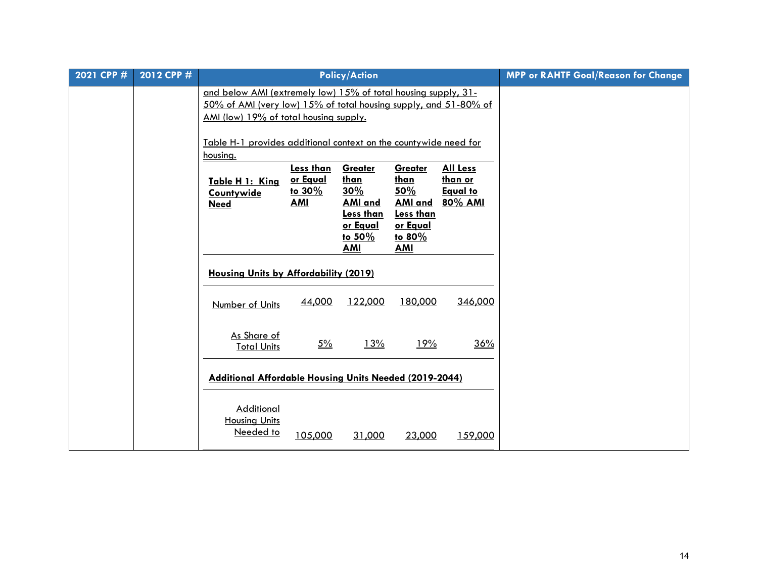| 2021 CPP # | 2012 CPP # |                                                                                                                                                                              |                                                      | <b>Policy/Action</b>                                                                                              |                                                                                                                |                                                          | <b>MPP or RAHTF Goal/Reason for Change</b> |
|------------|------------|------------------------------------------------------------------------------------------------------------------------------------------------------------------------------|------------------------------------------------------|-------------------------------------------------------------------------------------------------------------------|----------------------------------------------------------------------------------------------------------------|----------------------------------------------------------|--------------------------------------------|
|            |            | and below AMI (extremely low) 15% of total housing supply, 31-<br>50% of AMI (very low) 15% of total housing supply, and 51-80% of<br>AMI (low) 19% of total housing supply. |                                                      |                                                                                                                   |                                                                                                                |                                                          |                                            |
|            |            | Table H-1 provides additional context on the countywide need for<br>housing.                                                                                                 |                                                      |                                                                                                                   |                                                                                                                |                                                          |                                            |
|            |            | Table H 1: King<br>Countywide<br><b>Need</b>                                                                                                                                 | <b>Less than</b><br>or Equal<br>to 30%<br><b>AMI</b> | Greater<br><u>than</u><br>30%<br><b>AMI</b> and<br><b>Less than</b><br><u>or Equal</u><br>to $50\%$<br><b>AMI</b> | Greater<br><u>than</u><br>50%<br><b>AMI and</b><br><b>Less than</b><br><u>or Equal</u><br>to 80%<br><b>AMI</b> | <b>All Less</b><br>than or<br><b>Equal to</b><br>80% AMI |                                            |
|            |            | <b>Housing Units by Affordability (2019)</b>                                                                                                                                 |                                                      |                                                                                                                   |                                                                                                                |                                                          |                                            |
|            |            | Number of Units                                                                                                                                                              | 44,000                                               | 122,000                                                                                                           | 180,000                                                                                                        | 346,000                                                  |                                            |
|            |            | As Share of<br><b>Total Units</b>                                                                                                                                            | $5\%$                                                | <u>13%</u>                                                                                                        | <u>19%</u>                                                                                                     | 36%                                                      |                                            |
|            |            | Additional Affordable Housing Units Needed (2019-2044)                                                                                                                       |                                                      |                                                                                                                   |                                                                                                                |                                                          |                                            |
|            |            | Additional<br>Housing Units<br>Needed to                                                                                                                                     | 105,000                                              | 31,000                                                                                                            | 23,000                                                                                                         | 159,000                                                  |                                            |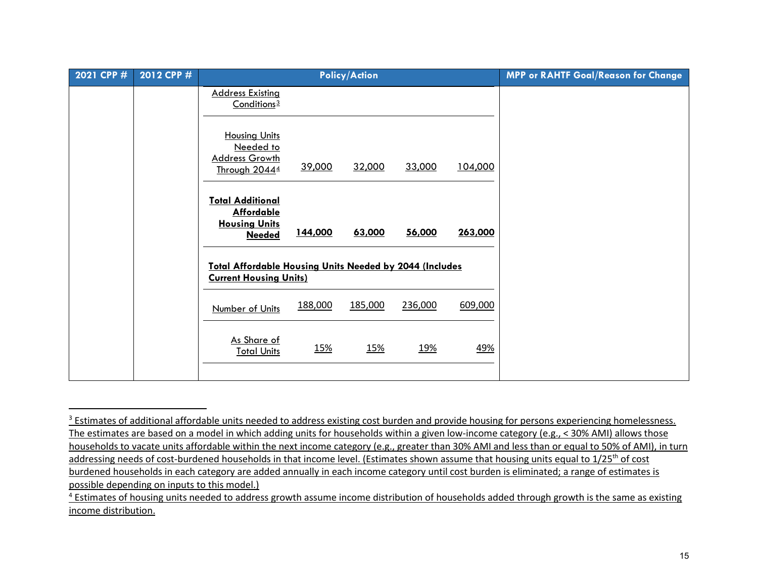<span id="page-14-1"></span><span id="page-14-0"></span>

| 2021 CPP # | 2012 CPP # |                                                                                                 |            | <b>Policy/Action</b> |            |         | <b>MPP or RAHTF Goal/Reason for Change</b> |
|------------|------------|-------------------------------------------------------------------------------------------------|------------|----------------------|------------|---------|--------------------------------------------|
|            |            | <b>Address Existing</b><br>Conditions <sup>3</sup>                                              |            |                      |            |         |                                            |
|            |            | <b>Housing Units</b><br>Needed to<br><b>Address Growth</b><br>Through 20444                     | 39,000     | 32,000               | 33,000     | 104,000 |                                            |
|            |            | <b>Total Additional</b><br><b>Affordable</b><br><b>Housing Units</b><br><b>Needed</b>           | 144,000    | 63,000               | 56,000     | 263,000 |                                            |
|            |            | <b>Total Affordable Housing Units Needed by 2044 (Includes</b><br><b>Current Housing Units)</b> |            |                      |            |         |                                            |
|            |            | Number of Units                                                                                 | 188,000    | 185,000              | 236,000    | 609,000 |                                            |
|            |            | As Share of<br><b>Total Units</b>                                                               | <u>15%</u> | <u>15%</u>           | <u>19%</u> | 49%     |                                            |
|            |            |                                                                                                 |            |                      |            |         |                                            |

<sup>&</sup>lt;sup>3</sup> Estimates of additional affordable units needed to address existing cost burden and provide housing for persons experiencing homelessness. The estimates are based on a model in which adding units for households within a given low-income category (e.g., < 30% AMI) allows those households to vacate units affordable within the next income category (e.g., greater than 30% AMI and less than or equal to 50% of AMI), in turn addressing needs of cost-burdened households in that income level. (Estimates shown assume that housing units equal to  $1/25<sup>th</sup>$  of cost burdened households in each category are added annually in each income category until cost burden is eliminated; a range of estimates is possible depending on inputs to this model.)

<sup>&</sup>lt;sup>4</sup> Estimates of housing units needed to address growth assume income distribution of households added through growth is the same as existing income distribution.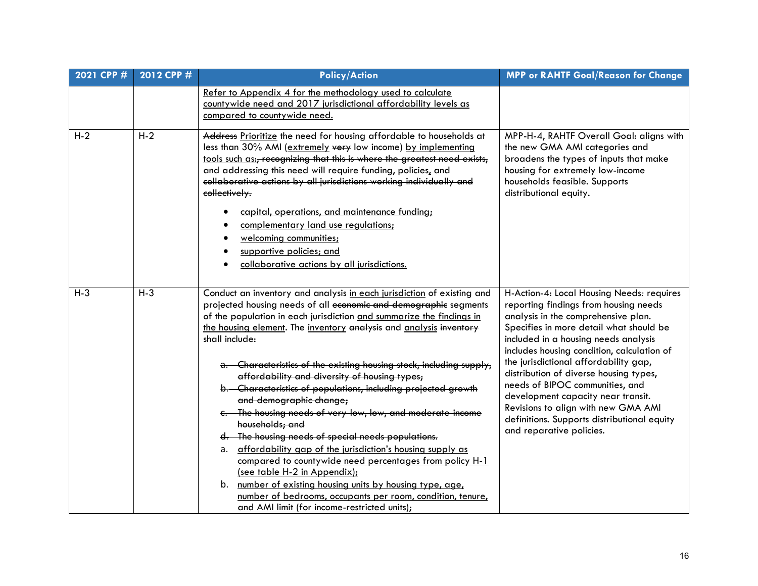| 2021 CPP # | 2012 CPP # | <b>Policy/Action</b>                                                                                                                                                                                                                                                                                                                                                                                                                                                                                                                                                                                                                                                                                                                                                                                                                                                                                                                                                                                           | <b>MPP or RAHTF Goal/Reason for Change</b>                                                                                                                                                                                                                                                                                                                                                                                                                                                                                               |
|------------|------------|----------------------------------------------------------------------------------------------------------------------------------------------------------------------------------------------------------------------------------------------------------------------------------------------------------------------------------------------------------------------------------------------------------------------------------------------------------------------------------------------------------------------------------------------------------------------------------------------------------------------------------------------------------------------------------------------------------------------------------------------------------------------------------------------------------------------------------------------------------------------------------------------------------------------------------------------------------------------------------------------------------------|------------------------------------------------------------------------------------------------------------------------------------------------------------------------------------------------------------------------------------------------------------------------------------------------------------------------------------------------------------------------------------------------------------------------------------------------------------------------------------------------------------------------------------------|
|            |            | Refer to Appendix 4 for the methodology used to calculate<br>countywide need and 2017 jurisdictional affordability levels as<br>compared to countywide need.                                                                                                                                                                                                                                                                                                                                                                                                                                                                                                                                                                                                                                                                                                                                                                                                                                                   |                                                                                                                                                                                                                                                                                                                                                                                                                                                                                                                                          |
| $H-2$      | $H-2$      | Address Prioritize the need for housing affordable to households at<br>less than 30% AMI (extremely very low income) by implementing<br>tools such as:, recognizing that this is where the greatest need exists,<br>and addressing this need will require funding, policies, and<br>collaborative actions by all jurisdictions working individually and<br>collectively.<br>capital, operations, and maintenance funding;<br>complementary land use regulations;<br>welcoming communities;<br>supportive policies; and<br>collaborative actions by all jurisdictions.                                                                                                                                                                                                                                                                                                                                                                                                                                          | MPP-H-4, RAHTF Overall Goal: aligns with<br>the new GMA AMI categories and<br>broadens the types of inputs that make<br>housing for extremely low-income<br>households feasible. Supports<br>distributional equity.                                                                                                                                                                                                                                                                                                                      |
| $H-3$      | $H-3$      | Conduct an inventory and analysis in each jurisdiction of existing and<br>projected housing needs of all economic and demographic segments<br>of the population in each jurisdiction and summarize the findings in<br>the housing element. The inventory analysis and analysis inventory<br>shall include:<br>a. Characteristics of the existing housing stock, including supply,<br>affordability and diversity of housing types;<br>b. Characteristics of populations, including projected growth<br>and demographic change,<br>c. The housing needs of very-low, low, and moderate-income<br>households; and<br>d. The housing needs of special needs populations.<br>affordability gap of the jurisdiction's housing supply as<br>а.<br>compared to countywide need percentages from policy H-1<br>(see table H-2 in Appendix);<br>b. number of existing housing units by housing type, age,<br>number of bedrooms, occupants per room, condition, tenure,<br>and AMI limit (for income-restricted units); | H-Action-4: Local Housing Needs: requires<br>reporting findings from housing needs<br>analysis in the comprehensive plan.<br>Specifies in more detail what should be<br>included in a housing needs analysis<br>includes housing condition, calculation of<br>the jurisdictional affordability gap,<br>distribution of diverse housing types,<br>needs of BIPOC communities, and<br>development capacity near transit.<br>Revisions to align with new GMA AMI<br>definitions. Supports distributional equity<br>and reparative policies. |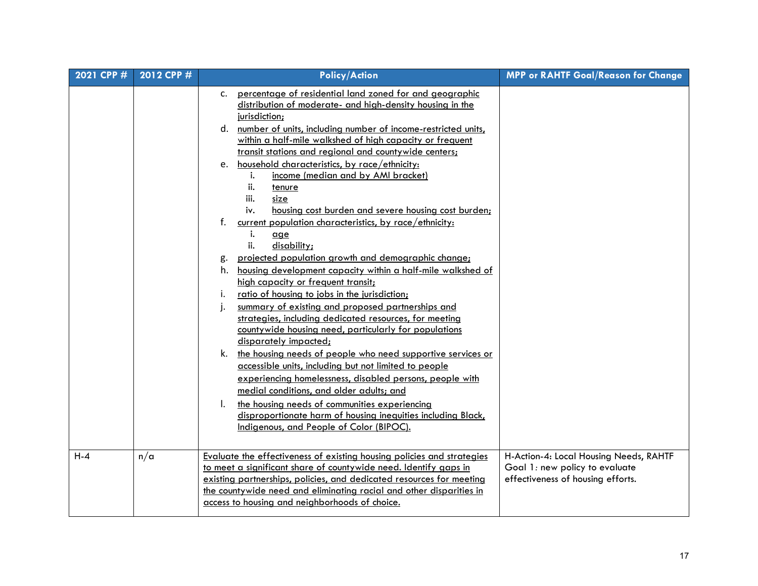| 2021 CPP # | 2012 CPP # | <b>Policy/Action</b>                                                                                                                                                                                                                                                                                                                                                                                                                                                                                                                                                                                                                                                                                                                                                                                                                                                                                                                                                                                                                                                                                                                                                                                                                                                                                                                                                                                                                                                                     | <b>MPP or RAHTF Goal/Reason for Change</b>                                                                    |
|------------|------------|------------------------------------------------------------------------------------------------------------------------------------------------------------------------------------------------------------------------------------------------------------------------------------------------------------------------------------------------------------------------------------------------------------------------------------------------------------------------------------------------------------------------------------------------------------------------------------------------------------------------------------------------------------------------------------------------------------------------------------------------------------------------------------------------------------------------------------------------------------------------------------------------------------------------------------------------------------------------------------------------------------------------------------------------------------------------------------------------------------------------------------------------------------------------------------------------------------------------------------------------------------------------------------------------------------------------------------------------------------------------------------------------------------------------------------------------------------------------------------------|---------------------------------------------------------------------------------------------------------------|
|            |            | percentage of residential land zoned for and geographic<br>C.<br>distribution of moderate- and high-density housing in the<br>jurisdiction;<br>number of units, including number of income-restricted units,<br>d.<br>within a half-mile walkshed of high capacity or frequent<br>transit stations and regional and countywide centers;<br>household characteristics, by race/ethnicity:<br>e.<br>income (median and by AMI bracket)<br>i.<br>ii.<br>tenure<br>iii.<br>size<br>housing cost burden and severe housing cost burden;<br>i۷.<br>f.<br>current population characteristics, by race/ethnicity:<br>i.<br>qge<br>ii.<br>disability;<br>projected population growth and demographic change;<br>g.<br>housing development capacity within a half-mile walkshed of<br>h.<br>high capacity or frequent transit;<br>ratio of housing to jobs in the jurisdiction;<br>Ι.<br>summary of existing and proposed partnerships and<br>j.<br>strategies, including dedicated resources, for meeting<br>countywide housing need, particularly for populations<br>disparately impacted;<br>k. the housing needs of people who need supportive services or<br>accessible units, including but not limited to people<br>experiencing homelessness, disabled persons, people with<br>medial conditions, and older adults; and<br>the housing needs of communities experiencing<br>I.<br>disproportionate harm of housing inequities including Black,<br>Indigenous, and People of Color (BIPOC). |                                                                                                               |
| $H - 4$    | n/a        | Evaluate the effectiveness of existing housing policies and strategies<br>to meet a significant share of countywide need. Identify gaps in<br>existing partnerships, policies, and dedicated resources for meeting<br>the countywide need and eliminating racial and other disparities in<br>access to housing and neighborhoods of choice.                                                                                                                                                                                                                                                                                                                                                                                                                                                                                                                                                                                                                                                                                                                                                                                                                                                                                                                                                                                                                                                                                                                                              | H-Action-4: Local Housing Needs, RAHTF<br>Goal 1: new policy to evaluate<br>effectiveness of housing efforts. |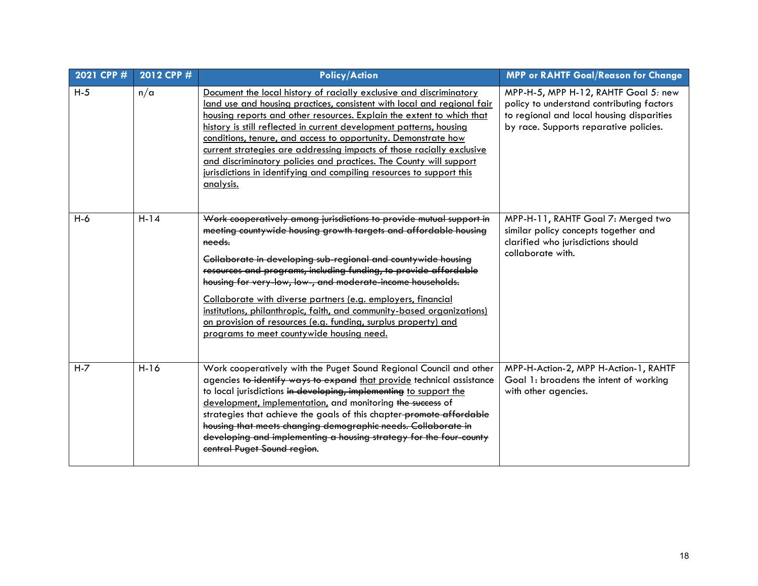| 2021 CPP # | 2012 CPP # | <b>Policy/Action</b>                                                                                                                                                                                                                                                                                                                                                                                                                                                                                                                                                                                           | <b>MPP or RAHTF Goal/Reason for Change</b>                                                                                                                               |
|------------|------------|----------------------------------------------------------------------------------------------------------------------------------------------------------------------------------------------------------------------------------------------------------------------------------------------------------------------------------------------------------------------------------------------------------------------------------------------------------------------------------------------------------------------------------------------------------------------------------------------------------------|--------------------------------------------------------------------------------------------------------------------------------------------------------------------------|
| $H-5$      | $n/\alpha$ | Document the local history of racially exclusive and discriminatory<br>land use and housing practices, consistent with local and regional fair<br>housing reports and other resources. Explain the extent to which that<br>history is still reflected in current development patterns, housing<br>conditions, tenure, and access to opportunity. Demonstrate how<br>current strategies are addressing impacts of those racially exclusive<br>and discriminatory policies and practices. The County will support<br>jurisdictions in identifying and compiling resources to support this<br><u>analysis.</u>    | MPP-H-5, MPP H-12, RAHTF Goal 5: new<br>policy to understand contributing factors<br>to regional and local housing disparities<br>by race. Supports reparative policies. |
| $H-6$      | $H-14$     | Work cooperatively among jurisdictions to provide mutual support in<br>meeting countywide housing growth targets and affordable housing<br>needs.<br>Collaborate in developing sub-regional and countywide housing<br>resources and programs, including funding, to provide affordable<br>housing for very-low, low-, and moderate-income households.<br>Collaborate with diverse partners (e.g. employers, financial<br>institutions, philanthropic, faith, and community-based organizations)<br>on provision of resources (e.g. funding, surplus property) and<br>programs to meet countywide housing need. | MPP-H-11, RAHTF Goal 7: Merged two<br>similar policy concepts together and<br>clarified who jurisdictions should<br>collaborate with.                                    |
| $H - 7$    | $H-16$     | Work cooperatively with the Puget Sound Regional Council and other<br>agencies to identify ways to expand that provide technical assistance<br>to local jurisdictions in developing, implementing to support the<br>development, implementation, and monitoring the success of<br>strategies that achieve the goals of this chapter-promote affordable<br>housing that meets changing demographic needs. Collaborate in<br>developing and implementing a housing strategy for the four-county<br>central Puget Sound region.                                                                                   | MPP-H-Action-2, MPP H-Action-1, RAHTF<br>Goal 1: broadens the intent of working<br>with other agencies.                                                                  |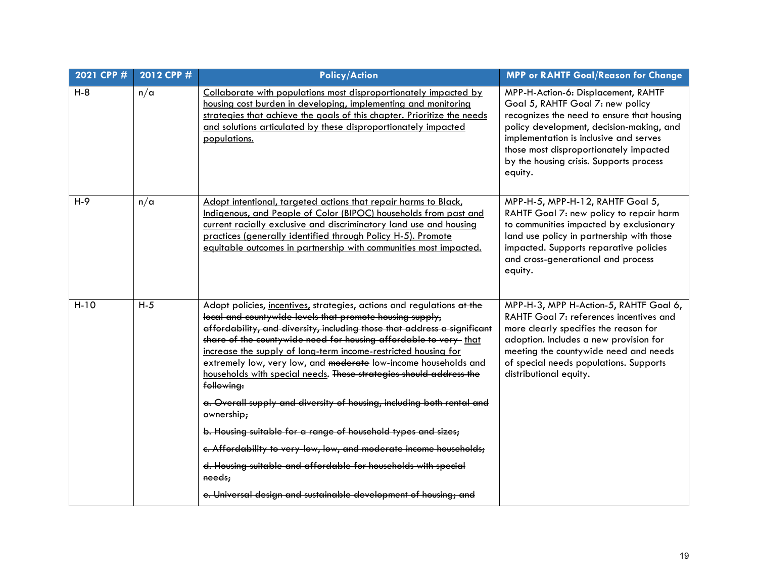| 2021 CPP # | 2012 CPP # | <b>Policy/Action</b>                                                                                                                                                                                                                                                                                                                                                                                                                                                                                                                                                                                                                                                                                                                                                                                                                                                                      | <b>MPP or RAHTF Goal/Reason for Change</b>                                                                                                                                                                                                                                                                  |
|------------|------------|-------------------------------------------------------------------------------------------------------------------------------------------------------------------------------------------------------------------------------------------------------------------------------------------------------------------------------------------------------------------------------------------------------------------------------------------------------------------------------------------------------------------------------------------------------------------------------------------------------------------------------------------------------------------------------------------------------------------------------------------------------------------------------------------------------------------------------------------------------------------------------------------|-------------------------------------------------------------------------------------------------------------------------------------------------------------------------------------------------------------------------------------------------------------------------------------------------------------|
| $H-8$      | n/a        | Collaborate with populations most disproportionately impacted by<br>housing cost burden in developing, implementing and monitoring<br>strategies that achieve the goals of this chapter. Prioritize the needs<br>and solutions articulated by these disproportionately impacted<br>populations.                                                                                                                                                                                                                                                                                                                                                                                                                                                                                                                                                                                           | MPP-H-Action-6: Displacement, RAHTF<br>Goal 5, RAHTF Goal 7: new policy<br>recognizes the need to ensure that housing<br>policy development, decision-making, and<br>implementation is inclusive and serves<br>those most disproportionately impacted<br>by the housing crisis. Supports process<br>equity. |
| $H-9$      | n/a        | Adopt intentional, targeted actions that repair harms to Black,<br>Indigenous, and People of Color (BIPOC) households from past and<br>current racially exclusive and discriminatory land use and housing<br>practices (generally identified through Policy H-5). Promote<br>equitable outcomes in partnership with communities most impacted.                                                                                                                                                                                                                                                                                                                                                                                                                                                                                                                                            | MPP-H-5, MPP-H-12, RAHTF Goal 5,<br>RAHTF Goal 7: new policy to repair harm<br>to communities impacted by exclusionary<br>land use policy in partnership with those<br>impacted. Supports reparative policies<br>and cross-generational and process<br>equity.                                              |
| $H-10$     | $H-5$      | Adopt policies, incentives, strategies, actions and regulations at the<br>local and countywide levels that promote housing supply,<br>affordability, and diversity, including those that address a significant<br>share of the countywide need for housing affordable to very- that<br>increase the supply of long-term income-restricted housing for<br>extremely low, very low, and moderate low-income households and<br>households with special needs. These strategies should address the<br>following:<br>a. Overall supply and diversity of housing, including both rental and<br>ownership;<br>b. Housing suitable for a range of household types and sizes;<br>c. Affordability to very-low, low, and moderate income households;<br>d. Housing suitable and affordable for households with special<br>needs;<br>e. Universal design and sustainable development of housing; and | MPP-H-3, MPP H-Action-5, RAHTF Goal 6,<br>RAHTF Goal 7: references incentives and<br>more clearly specifies the reason for<br>adoption. Includes a new provision for<br>meeting the countywide need and needs<br>of special needs populations. Supports<br>distributional equity.                           |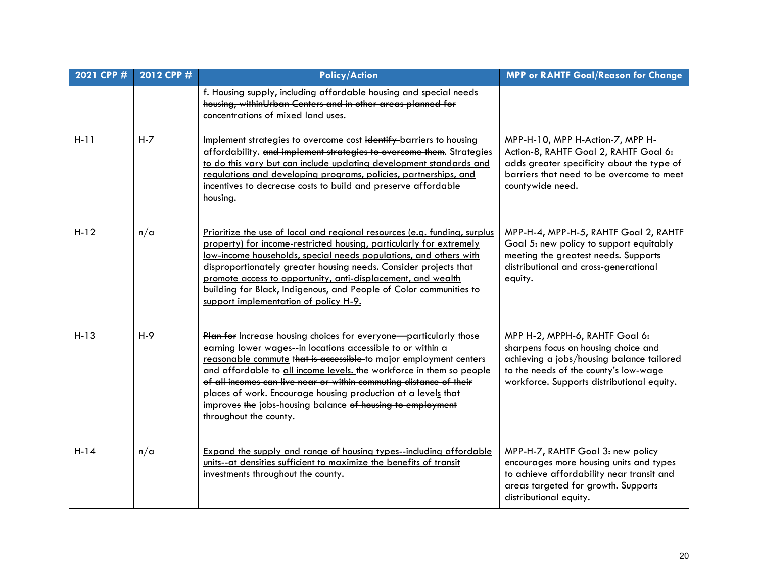| 2021 CPP # | 2012 CPP # | <b>Policy/Action</b>                                                                                                                                                                                                                                                                                                                                                                                                                                                                                         | <b>MPP or RAHTF Goal/Reason for Change</b>                                                                                                                                                                 |
|------------|------------|--------------------------------------------------------------------------------------------------------------------------------------------------------------------------------------------------------------------------------------------------------------------------------------------------------------------------------------------------------------------------------------------------------------------------------------------------------------------------------------------------------------|------------------------------------------------------------------------------------------------------------------------------------------------------------------------------------------------------------|
|            |            | f. Housing supply, including affordable housing and special needs<br>housing, withinUrban Centers and in other areas planned for<br>concentrations of mixed land uses.                                                                                                                                                                                                                                                                                                                                       |                                                                                                                                                                                                            |
| $H-11$     | $H - 7$    | Implement strategies to overcome cost ldentify barriers to housing<br>affordability. and implement strategies to overcome them. Strategies<br>to do this vary but can include updating development standards and<br>regulations and developing programs, policies, partnerships, and<br>incentives to decrease costs to build and preserve affordable<br>housing.                                                                                                                                            | MPP-H-10, MPP H-Action-7, MPP H-<br>Action-8, RAHTF Goal 2, RAHTF Goal 6:<br>adds greater specificity about the type of<br>barriers that need to be overcome to meet<br>countywide need.                   |
| $H-12$     | n/a        | Prioritize the use of local and regional resources (e.g. funding, surplus<br>property) for income-restricted housing, particularly for extremely<br>low-income households, special needs populations, and others with<br>disproportionately greater housing needs. Consider projects that<br>promote access to opportunity, anti-displacement, and wealth<br>building for Black, Indigenous, and People of Color communities to<br>support implementation of policy H-9.                                     | MPP-H-4, MPP-H-5, RAHTF Goal 2, RAHTF<br>Goal 5: new policy to support equitably<br>meeting the greatest needs. Supports<br>distributional and cross-generational<br>equity.                               |
| $H-13$     | $H-9$      | Plan for Increase housing choices for everyone-particularly those<br>earning lower wages--in locations accessible to or within a<br>reasonable commute that is accessible-to major employment centers<br>and affordable to all income levels. the workforce in them so people<br>of all incomes can live near or within commuting distance of their<br>places of work. Encourage housing production at a-levels that<br>improves the jobs-housing balance of housing to employment<br>throughout the county. | MPP H-2, MPPH-6, RAHTF Goal 6:<br>sharpens focus on housing choice and<br>achieving a jobs/housing balance tailored<br>to the needs of the county's low-wage<br>workforce. Supports distributional equity. |
| $H-14$     | n/a        | Expand the supply and range of housing types--including affordable<br>units--at densities sufficient to maximize the benefits of transit<br>investments throughout the county.                                                                                                                                                                                                                                                                                                                               | MPP-H-7, RAHTF Goal 3: new policy<br>encourages more housing units and types<br>to achieve affordability near transit and<br>areas targeted for growth. Supports<br>distributional equity.                 |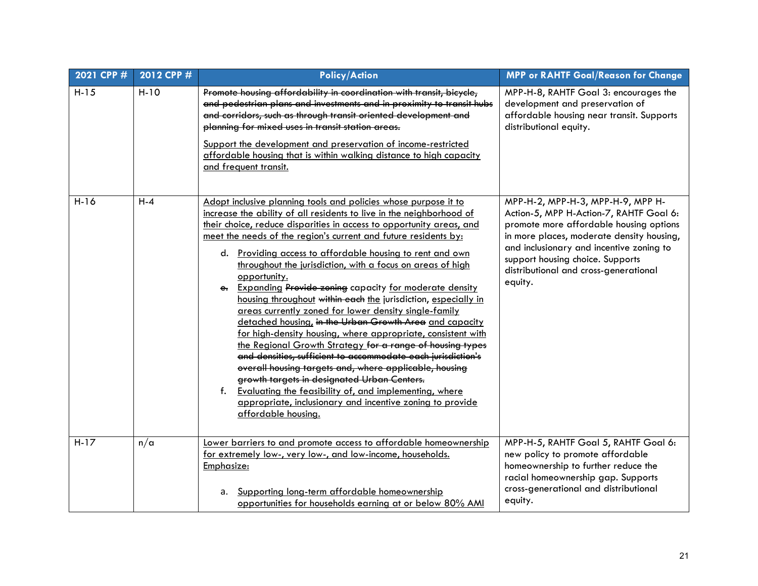| 2021 CPP # | 2012 CPP # | <b>Policy/Action</b>                                                                                                                                                                                                                                                                                                                                                                                                                                                                                                                                                                                                                                                                                                                                                                                                                                                                                                                                                                                                                                                                                                                                 | <b>MPP or RAHTF Goal/Reason for Change</b>                                                                                                                                                                                                                                                               |
|------------|------------|------------------------------------------------------------------------------------------------------------------------------------------------------------------------------------------------------------------------------------------------------------------------------------------------------------------------------------------------------------------------------------------------------------------------------------------------------------------------------------------------------------------------------------------------------------------------------------------------------------------------------------------------------------------------------------------------------------------------------------------------------------------------------------------------------------------------------------------------------------------------------------------------------------------------------------------------------------------------------------------------------------------------------------------------------------------------------------------------------------------------------------------------------|----------------------------------------------------------------------------------------------------------------------------------------------------------------------------------------------------------------------------------------------------------------------------------------------------------|
| $H-15$     | $H-10$     | Promote housing affordability in coordination with transit, bicycle,<br>and pedestrian plans and investments and in proximity to transit hubs<br>and corridors, such as through transit oriented development and<br>planning for mixed uses in transit station areas.<br>Support the development and preservation of income-restricted<br>affordable housing that is within walking distance to high capacity<br>and frequent transit.                                                                                                                                                                                                                                                                                                                                                                                                                                                                                                                                                                                                                                                                                                               | MPP-H-8, RAHTF Goal 3: encourages the<br>development and preservation of<br>affordable housing near transit. Supports<br>distributional equity.                                                                                                                                                          |
| $H-16$     | $H - 4$    | Adopt inclusive planning tools and policies whose purpose it to<br>increase the ability of all residents to live in the neighborhood of<br>their choice, reduce disparities in access to opportunity areas, and<br>meet the needs of the region's current and future residents by:<br>d. Providing access to affordable housing to rent and own<br>throughout the jurisdiction, with a focus on areas of high<br>opportunity.<br><b>Expanding Provide zoning</b> capacity for moderate density<br>е.<br>housing throughout within each the jurisdiction, especially in<br>areas currently zoned for lower density single-family<br>detached housing, in the Urban Growth Area and capacity<br>for high-density housing, where appropriate, consistent with<br>the Regional Growth Strategy for a range of housing types<br>and densities, sufficient to accommodate each jurisdiction's<br>overall housing targets and, where applicable, housing<br>growth targets in designated Urban Centers.<br>Evaluating the feasibility of, and implementing, where<br>f.<br>appropriate, inclusionary and incentive zoning to provide<br>affordable housing. | MPP-H-2, MPP-H-3, MPP-H-9, MPP H-<br>Action-5, MPP H-Action-7, RAHTF Goal 6:<br>promote more affordable housing options<br>in more places, moderate density housing,<br>and inclusionary and incentive zoning to<br>support housing choice. Supports<br>distributional and cross-generational<br>equity. |
| $H-17$     | n/a        | Lower barriers to and promote access to affordable homeownership<br>for extremely low-, very low-, and low-income, households.<br>Emphasize:<br>Supporting long-term affordable homeownership<br>а.<br>opportunities for households earning at or below 80% AMI                                                                                                                                                                                                                                                                                                                                                                                                                                                                                                                                                                                                                                                                                                                                                                                                                                                                                      | MPP-H-5, RAHTF Goal 5, RAHTF Goal 6:<br>new policy to promote affordable<br>homeownership to further reduce the<br>racial homeownership gap. Supports<br>cross-generational and distributional<br>equity.                                                                                                |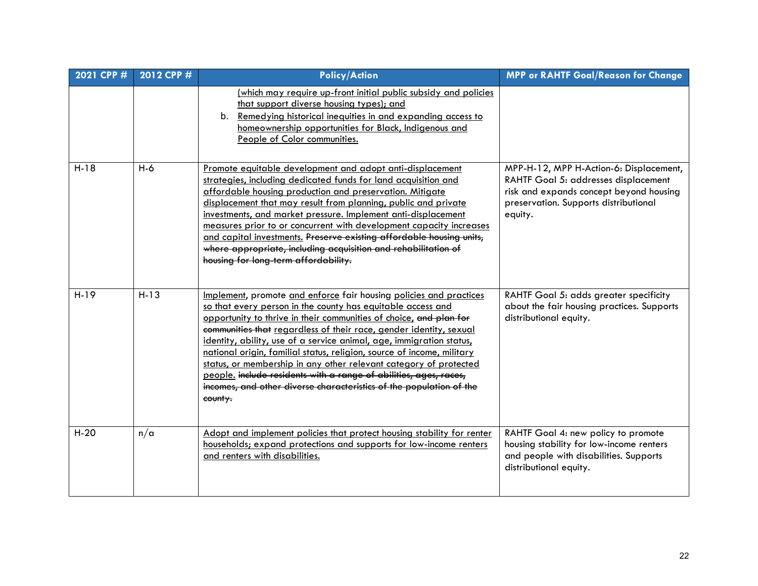| 2021 CPP # | 2012 CPP # | <b>Policy/Action</b>                                                                                                                                                                                                                                                                                                                                                                                                                                                                                                                                                                                                                                        | <b>MPP or RAHTF Goal/Reason for Change</b>                                                                                                                                     |
|------------|------------|-------------------------------------------------------------------------------------------------------------------------------------------------------------------------------------------------------------------------------------------------------------------------------------------------------------------------------------------------------------------------------------------------------------------------------------------------------------------------------------------------------------------------------------------------------------------------------------------------------------------------------------------------------------|--------------------------------------------------------------------------------------------------------------------------------------------------------------------------------|
|            |            | <u>(which may require up-front initial public subsidy and policies</u><br>that support diverse housing types); and<br>b. Remedying historical inequities in and expanding access to<br>homeownership opportunities for Black, Indigenous and<br>People of Color communities.                                                                                                                                                                                                                                                                                                                                                                                |                                                                                                                                                                                |
| $H-18$     | $H-6$      | Promote equitable development and adopt anti-displacement<br>strategies, including dedicated funds for land acquisition and<br>affordable housing production and preservation. Mitigate<br>displacement that may result from planning, public and private<br>investments, and market pressure. Implement anti-displacement<br>measures prior to or concurrent with development capacity increases<br>and capital investments. Preserve existing affordable housing units,<br>where appropriate, including acquisition and rehabilitation of<br>housing for long-term affordability.                                                                         | MPP-H-12, MPP H-Action-6: Displacement,<br>RAHTF Goal 5: addresses displacement<br>risk and expands concept beyond housing<br>preservation. Supports distributional<br>equity. |
| $H-19$     | $H-13$     | Implement, promote and enforce fair housing policies and practices<br>so that every person in the county has equitable access and<br>opportunity to thrive in their communities of choice, and plan for<br>communities that regardless of their race, gender identity, sexual<br>identity, ability, use of a service animal, age, immigration status,<br>national origin, familial status, religion, source of income, military<br>status, or membership in any other relevant category of protected<br>people. include residents with a range of abilities, ages, races,<br>incomes, and other diverse characteristics of the population of the<br>county. | RAHTF Goal 5: adds greater specificity<br>about the fair housing practices. Supports<br>distributional equity.                                                                 |
| $H-20$     | n/a        | Adopt and implement policies that protect housing stability for renter<br>households; expand protections and supports for low-income renters<br>and renters with disabilities.                                                                                                                                                                                                                                                                                                                                                                                                                                                                              | RAHTF Goal 4: new policy to promote<br>housing stability for low-income renters<br>and people with disabilities. Supports<br>distributional equity.                            |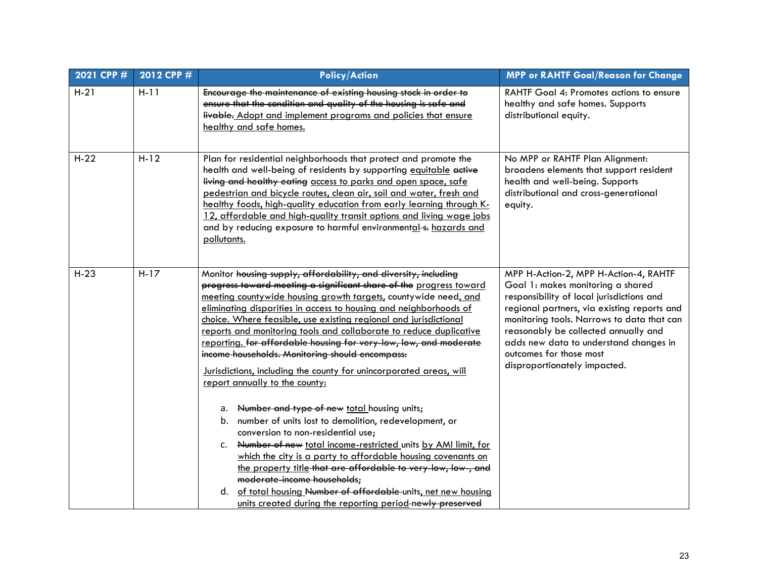| 2021 CPP # | 2012 CPP # | <b>Policy/Action</b>                                                                                                                                                                                                                                                                                                                                                                                                                                                                                                                                                                                                                                                                                                                                                                                                                                                                                                                                                                                                                                                                                               | <b>MPP or RAHTF Goal/Reason for Change</b>                                                                                                                                                                                                                                                                                                                        |
|------------|------------|--------------------------------------------------------------------------------------------------------------------------------------------------------------------------------------------------------------------------------------------------------------------------------------------------------------------------------------------------------------------------------------------------------------------------------------------------------------------------------------------------------------------------------------------------------------------------------------------------------------------------------------------------------------------------------------------------------------------------------------------------------------------------------------------------------------------------------------------------------------------------------------------------------------------------------------------------------------------------------------------------------------------------------------------------------------------------------------------------------------------|-------------------------------------------------------------------------------------------------------------------------------------------------------------------------------------------------------------------------------------------------------------------------------------------------------------------------------------------------------------------|
| $H-21$     | $H-11$     | Encourage the maintenance of existing housing stock in order to<br>ensure that the condition and quality of the housing is safe and<br>livable. Adopt and implement programs and policies that ensure<br>healthy and safe homes.                                                                                                                                                                                                                                                                                                                                                                                                                                                                                                                                                                                                                                                                                                                                                                                                                                                                                   | RAHTF Goal 4: Promotes actions to ensure<br>healthy and safe homes. Supports<br>distributional equity.                                                                                                                                                                                                                                                            |
| $H-22$     | $H-12$     | Plan for residential neighborhoods that protect and promote the<br>health and well-being of residents by supporting equitable active<br>living and healthy eating access to parks and open space, safe<br>pedestrian and bicycle routes, clean air, soil and water, fresh and<br>healthy foods, high-quality education from early learning through K-<br>12, affordable and high-quality transit options and living wage jobs<br>and by reducing exposure to harmful environmental-s- hazards and<br>pollutants.                                                                                                                                                                                                                                                                                                                                                                                                                                                                                                                                                                                                   | No MPP or RAHTF Plan Alignment:<br>broadens elements that support resident<br>health and well-being. Supports<br>distributional and cross-generational<br>equity.                                                                                                                                                                                                 |
| $H-23$     | $H-17$     | Monitor housing supply, affordability, and diversity, including<br>progress toward meeting a significant share of the progress toward<br>meeting countywide housing growth targets, countywide need, and<br>eliminating disparities in access to housing and neighborhoods of<br>choice. Where feasible, use existing regional and jurisdictional<br>reports and monitoring tools and collaborate to reduce duplicative<br>reporting. for affordable housing for very-low, low, and moderate<br>income households. Monitoring should encompass:<br>Jurisdictions, including the county for unincorporated areas, will<br>report annually to the county:<br>a. Number and type of new total housing units;<br>b. number of units lost to demolition, redevelopment, or<br>conversion to non-residential use;<br>c. Number of new total income-restricted units by AMI limit, for<br>which the city is a party to affordable housing covenants on<br>the property title that are affordable to very-low, low-, and<br>moderate-income households;<br>d. of total housing Number of affordable units, net new housing | MPP H-Action-2, MPP H-Action-4, RAHTF<br>Goal 1: makes monitoring a shared<br>responsibility of local jurisdictions and<br>regional partners, via existing reports and<br>monitoring tools. Narrows to data that can<br>reasonably be collected annually and<br>adds new data to understand changes in<br>outcomes for those most<br>disproportionately impacted. |
|            |            | units created during the reporting period-newly preserved                                                                                                                                                                                                                                                                                                                                                                                                                                                                                                                                                                                                                                                                                                                                                                                                                                                                                                                                                                                                                                                          |                                                                                                                                                                                                                                                                                                                                                                   |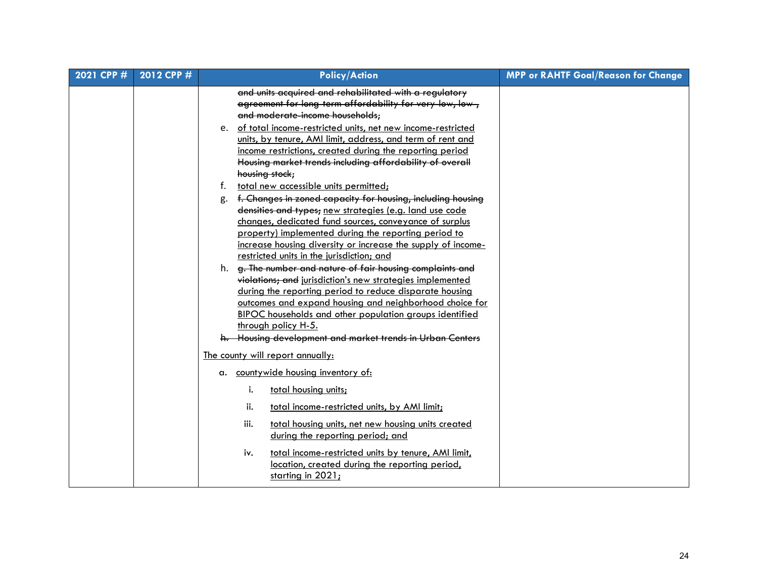| 2021 CPP # | 2012 CPP # | <b>Policy/Action</b>                                                                                                                                                                                                                                                                                                                                                                                                                                                                                                                                                                                                                                                      | <b>MPP or RAHTF Goal/Reason for Change</b> |
|------------|------------|---------------------------------------------------------------------------------------------------------------------------------------------------------------------------------------------------------------------------------------------------------------------------------------------------------------------------------------------------------------------------------------------------------------------------------------------------------------------------------------------------------------------------------------------------------------------------------------------------------------------------------------------------------------------------|--------------------------------------------|
|            |            | and units acquired and rehabilitated with a regulatory<br>agreement for long-term affordability for very-low, low-,<br>and moderate-income households;<br>e. of total income-restricted units, net new income-restricted<br>units, by tenure, AMI limit, address, and term of rent and<br>income restrictions, created during the reporting period<br>Housing market trends including affordability of overall<br>housing stock;<br>total new accessible units permitted;<br>t.<br>f. Changes in zoned capacity for housing, including housing<br>g.<br>densities and types; new strategies (e.g. land use code<br>changes, dedicated fund sources, conveyance of surplus |                                            |
|            |            | property) implemented during the reporting period to<br>increase housing diversity or increase the supply of income-<br>restricted units in the jurisdiction; and<br>h. g. The number and nature of fair housing complaints and<br>violations; and jurisdiction's new strategies implemented<br>during the reporting period to reduce disparate housing<br>outcomes and expand housing and neighborhood choice for<br>BIPOC households and other population groups identified<br>through policy H-5.<br>h. Housing development and market trends in Urban Centers                                                                                                         |                                            |
|            |            | The county will report annually:                                                                                                                                                                                                                                                                                                                                                                                                                                                                                                                                                                                                                                          |                                            |
|            |            | a. countywide housing inventory of:                                                                                                                                                                                                                                                                                                                                                                                                                                                                                                                                                                                                                                       |                                            |
|            |            | total housing units;<br>i.<br>ii.<br>total income-restricted units, by AMI limit;                                                                                                                                                                                                                                                                                                                                                                                                                                                                                                                                                                                         |                                            |
|            |            | iii.<br>total housing units, net new housing units created<br>during the reporting period; and                                                                                                                                                                                                                                                                                                                                                                                                                                                                                                                                                                            |                                            |
|            |            | iv.<br>total income-restricted units by tenure, AMI limit,<br>location, created during the reporting period,<br>starting in 2021;                                                                                                                                                                                                                                                                                                                                                                                                                                                                                                                                         |                                            |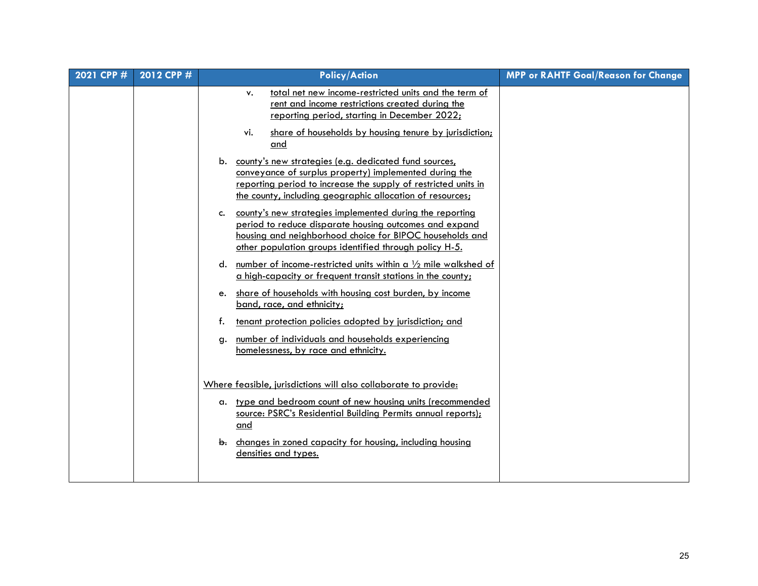| 2021 CPP # | 2012 CPP # | <b>Policy/Action</b>                                                                                                                                                                                                                              | <b>MPP or RAHTF Goal/Reason for Change</b> |
|------------|------------|---------------------------------------------------------------------------------------------------------------------------------------------------------------------------------------------------------------------------------------------------|--------------------------------------------|
|            |            | total net new income-restricted units and the term of<br>٧.<br>rent and income restrictions created during the<br>reporting period, starting in December 2022;                                                                                    |                                            |
|            |            | share of households by housing tenure by jurisdiction;<br>vi.<br>and                                                                                                                                                                              |                                            |
|            |            | b. county's new strategies (e.g. dedicated fund sources,<br>conveyance of surplus property) implemented during the<br>reporting period to increase the supply of restricted units in<br>the county, including geographic allocation of resources; |                                            |
|            |            | c. county's new strategies implemented during the reporting<br>period to reduce disparate housing outcomes and expand<br>housing and neighborhood choice for BIPOC households and<br>other population groups identified through policy H-5.       |                                            |
|            |            | d. number of income-restricted units within a $\frac{1}{2}$ mile walkshed of<br>a high-capacity or frequent transit stations in the county;                                                                                                       |                                            |
|            |            | share of households with housing cost burden, by income<br>e.<br>band, race, and ethnicity;                                                                                                                                                       |                                            |
|            |            | tenant protection policies adopted by jurisdiction; and<br>f.                                                                                                                                                                                     |                                            |
|            |            | number of individuals and households experiencing<br>g.<br>homelessness, by race and ethnicity.                                                                                                                                                   |                                            |
|            |            | Where feasible, jurisdictions will also collaborate to provide:                                                                                                                                                                                   |                                            |
|            |            | a. type and bedroom count of new housing units (recommended<br>source: PSRC's Residential Building Permits annual reports);<br>and                                                                                                                |                                            |
|            |            | changes in zoned capacity for housing, including housing<br>b.<br>densities and types.                                                                                                                                                            |                                            |